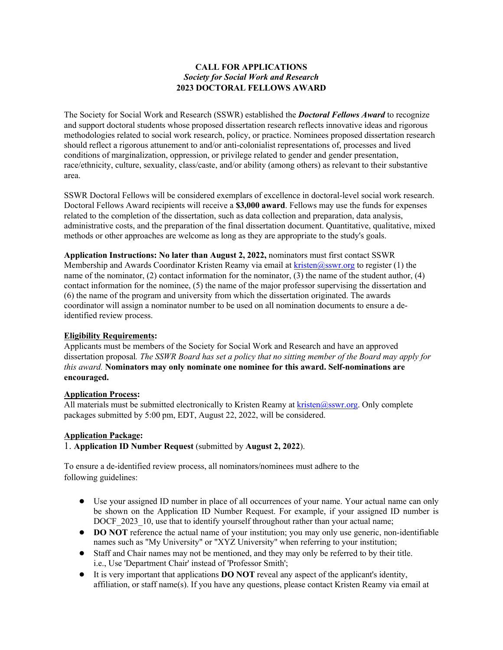## **CALL FOR APPLICATIONS** *Society for Social Work and Research* **2023 DOCTORAL FELLOWS AWARD**

The Society for Social Work and Research (SSWR) established the *Doctoral Fellows Award* to recognize and support doctoral students whose proposed dissertation research reflects innovative ideas and rigorous methodologies related to social work research, policy, or practice. Nominees proposed dissertation research should reflect a rigorous attunement to and/or anti-colonialist representations of, processes and lived conditions of marginalization, oppression, or privilege related to gender and gender presentation, race/ethnicity, culture, sexuality, class/caste, and/or ability (among others) as relevant to their substantive area.

SSWR Doctoral Fellows will be considered exemplars of excellence in doctoral-level social work research. Doctoral Fellows Award recipients will receive a **\$3,000 award**. Fellows may use the funds for expenses related to the completion of the dissertation, such as data collection and preparation, data analysis, administrative costs, and the preparation of the final dissertation document. Quantitative, qualitative, mixed methods or other approaches are welcome as long as they are appropriate to the study's goals.

**Application Instructions: No later than August 2, 2022,** nominators must first contact SSWR Membership and Awards Coordinator Kristen Reamy via email at  $k$ risten@sswr.org to register (1) the name of the nominator, (2) contact information for the nominator, (3) the name of the student author, (4) contact information for the nominee, (5) the name of the major professor supervising the dissertation and (6) the name of the program and university from which the dissertation originated. The awards coordinator will assign a nominator number to be used on all nomination documents to ensure a deidentified review process.

## **Eligibility Requirements:**

Applicants must be members of the Society for Social Work and Research and have an approved dissertation proposal*. The SSWR Board has set a policy that no sitting member of the Board may apply for this award.* **Nominators may only nominate one nominee for this award. Self-nominations are encouraged.**

# **Application Process:**

All materials must be submitted electronically to Kristen Reamy at  $k$ risten@sswr.org. Only complete packages submitted by 5:00 pm, EDT, August 22, 2022, will be considered.

## **Application Package:**

1. **Application ID Number Request** (submitted by **August 2, 2022**).

To ensure a de-identified review process, all nominators/nominees must adhere to the following guidelines:

- Use your assigned ID number in place of all occurrences of your name. Your actual name can only be shown on the Application ID Number Request. For example, if your assigned ID number is DOCF 2023 10, use that to identify yourself throughout rather than your actual name;
- **DO NOT** reference the actual name of your institution; you may only use generic, non-identifiable names such as "My University" or "XYZ University" when referring to your institution;
- Staff and Chair names may not be mentioned, and they may only be referred to by their title. i.e., Use 'Department Chair' instead of 'Professor Smith';
- It is very important that applications **DO NOT** reveal any aspect of the applicant's identity, affiliation, or staff name(s). If you have any questions, please contact Kristen Reamy via email at